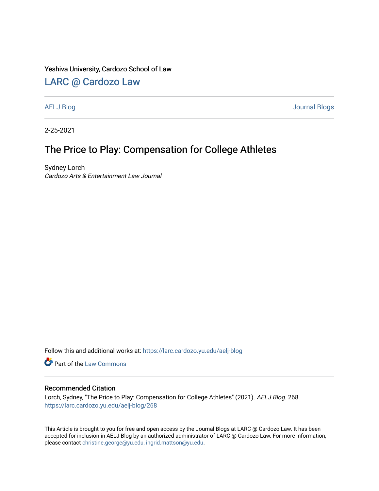### Yeshiva University, Cardozo School of Law

## [LARC @ Cardozo Law](https://larc.cardozo.yu.edu/)

[AELJ Blog](https://larc.cardozo.yu.edu/aelj-blog) [Journal Blogs](https://larc.cardozo.yu.edu/journal-blogs) 

2-25-2021

## The Price to Play: Compensation for College Athletes

Sydney Lorch Cardozo Arts & Entertainment Law Journal

Follow this and additional works at: [https://larc.cardozo.yu.edu/aelj-blog](https://larc.cardozo.yu.edu/aelj-blog?utm_source=larc.cardozo.yu.edu%2Faelj-blog%2F268&utm_medium=PDF&utm_campaign=PDFCoverPages) 

Part of the [Law Commons](http://network.bepress.com/hgg/discipline/578?utm_source=larc.cardozo.yu.edu%2Faelj-blog%2F268&utm_medium=PDF&utm_campaign=PDFCoverPages)

#### Recommended Citation

Lorch, Sydney, "The Price to Play: Compensation for College Athletes" (2021). AELJ Blog. 268. [https://larc.cardozo.yu.edu/aelj-blog/268](https://larc.cardozo.yu.edu/aelj-blog/268?utm_source=larc.cardozo.yu.edu%2Faelj-blog%2F268&utm_medium=PDF&utm_campaign=PDFCoverPages) 

This Article is brought to you for free and open access by the Journal Blogs at LARC @ Cardozo Law. It has been accepted for inclusion in AELJ Blog by an authorized administrator of LARC @ Cardozo Law. For more information, please contact [christine.george@yu.edu, ingrid.mattson@yu.edu.](mailto:christine.george@yu.edu,%20ingrid.mattson@yu.edu)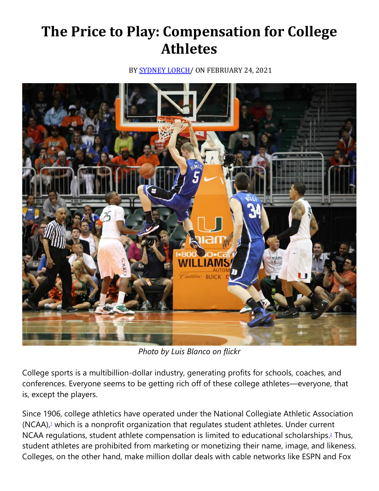# **The Price to Play: Compensation for College Athletes**

BY **SYDNEY LORCH** / ON FEBRUARY 24, 2021



*Photo by Luis Blanco on flickr*

College sports is a multibillion-dollar industry, generating profits for schools, coaches, and conferences. Everyone seems to be getting rich off of these college athletes—everyone, that is, except the players.

Since 1906, college athletics have operated under the National Collegiate Athletic Association (NCAA)[,](https://cardozoaelj.com/2021/02/24/the-price-to-play-compensation-for-college-athletes/#easy-footnote-bottom-1-6686)<sup>1</sup> which is a nonprofit organization that regulates student athletes. Under current NCAA regulations, student athlete compensation is limited to educational scholarships[.](https://cardozoaelj.com/2021/02/24/the-price-to-play-compensation-for-college-athletes/#easy-footnote-bottom-2-6686)<sup>2</sup> Thus, student athletes are prohibited from marketing or monetizing their name, image, and likeness. Colleges, on the other hand, make million dollar deals with cable networks like ESPN and Fox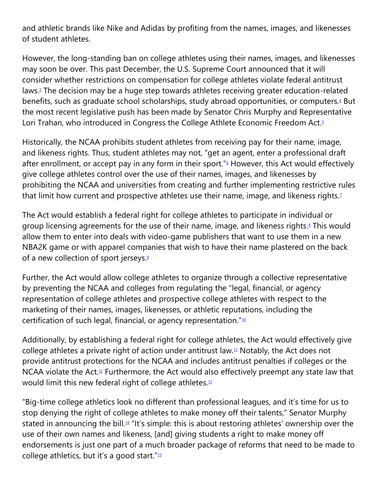and athletic brands like Nike and Adidas by profiting from the names, images, and likenesses of student athletes.

However, the long-standing ban on college athletes using their names, images, and likenesses may soon be over. This past December, the U.S. Supreme Court announced that it will consider whether restrictions on compensation for college athletes violate federal antitrust laws[.](https://cardozoaelj.com/2021/02/24/the-price-to-play-compensation-for-college-athletes/#easy-footnote-bottom-3-6686)<sup>3</sup> The decision may be a huge step towards athletes receiving greater education-related benefits, such as graduate school scholarships, study abroad opportunities, or computers[.](https://cardozoaelj.com/2021/02/24/the-price-to-play-compensation-for-college-athletes/#easy-footnote-bottom-4-6686)<sup>4</sup> But the most recent legislative push has been made by Senator Chris Murphy and Representative Lori Trahan, who introduced in Congress the College Athlete Economic Freedom Act[.](https://cardozoaelj.com/2021/02/24/the-price-to-play-compensation-for-college-athletes/#easy-footnote-bottom-5-6686)<sup>5</sup>

Historically, the NCAA prohibits student athletes from receiving pay for their name, image, and likeness rights. Thus, student athletes may not, "get an agent, enter a professional draft after enrollment, or accept pay in any form in their sport.["](https://cardozoaelj.com/2021/02/24/the-price-to-play-compensation-for-college-athletes/#easy-footnote-bottom-6-6686) $6$  However, this Act would effectively give college athletes control over the use of their names, images, and likenesses by prohibiting the NCAA and universities from creating and further implementing restrictive rules that limit how current and prospective athletes use their name, image, and likeness rights[.](https://cardozoaelj.com/2021/02/24/the-price-to-play-compensation-for-college-athletes/#easy-footnote-bottom-7-6686)<sup>1</sup>

The Act would establish a federal right for college athletes to participate in individual or group licensing agreements for the use of their name, image, and likeness rights[.](https://cardozoaelj.com/2021/02/24/the-price-to-play-compensation-for-college-athletes/#easy-footnote-bottom-8-6686) <sup>8</sup> This would allow them to enter into deals with video-game publishers that want to use them in a new NBA2K game or with apparel companies that wish to have their name plastered on the back of a new collection of sport jerseys[.](https://cardozoaelj.com/2021/02/24/the-price-to-play-compensation-for-college-athletes/#easy-footnote-bottom-9-6686) $9$ 

Further, the Act would allow college athletes to organize through a collective representative by preventing the NCAA and colleges from regulating the "legal, financial, or agency representation of college athletes and prospective college athletes with respect to the marketing of their names, images, likenesses, or athletic reputations, including the certification of such legal, financial, or agency representation."<sup>[10](https://cardozoaelj.com/2021/02/24/the-price-to-play-compensation-for-college-athletes/#easy-footnote-bottom-10-6686)</sup>

Additionally, by establishing a federal right for college athletes, the Act would effectively give college athletes a private right of action under antitrust law.<sup>[11](https://cardozoaelj.com/2021/02/24/the-price-to-play-compensation-for-college-athletes/#easy-footnote-bottom-11-6686)</sup> Notably, the Act does not provide antitrust protections for the NCAA and includes antitrust penalties if colleges or the NCAA violate the Act.<sup>[12](https://cardozoaelj.com/2021/02/24/the-price-to-play-compensation-for-college-athletes/#easy-footnote-bottom-12-6686)</sup> Furthermore, the Act would also effectively preempt any state law that would limit this new federal right of college athletes.<sup>[13](https://cardozoaelj.com/2021/02/24/the-price-to-play-compensation-for-college-athletes/#easy-footnote-bottom-13-6686)</sup>

"Big-time college athletics look no different than professional leagues, and it's time for us to stop denying the right of college athletes to make money off their talents," Senator Murphy stated in announcing the bill.[14](https://cardozoaelj.com/2021/02/24/the-price-to-play-compensation-for-college-athletes/#easy-footnote-bottom-14-6686) "It's simple: this is about restoring athletes' ownership over the use of their own names and likeness, [and] giving students a right to make money off endorsements is just one part of a much broader package of reforms that need to be made to college athletics, but it's a good start."<sup>[15](https://cardozoaelj.com/2021/02/24/the-price-to-play-compensation-for-college-athletes/#easy-footnote-bottom-15-6686)</sup>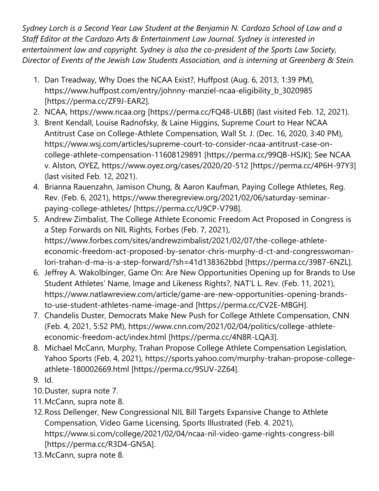*Sydney Lorch is a Second Year Law Student at the Benjamin N. Cardozo School of Law and a Staff Editor at the Cardozo Arts & Entertainment Law Journal. Sydney is interested in entertainment law and copyright. Sydney is also the co-president of the Sports Law Society, Director of Events of the Jewish Law Students Association, and is interning at Greenberg & Stein.*

- 1. Dan Treadway, Why Does the NCAA Exist?, Huffpost (Aug. 6, 2013, 1:39 PM), https://www.huffpost.com/entry/johnny-manziel-ncaa-eligibility\_b\_3020985 [https://perma.cc/ZF9J-EAR2].
- 2. NCAA, https://www.ncaa.org [https://perma.cc/FQ48-ULBB] (last visited Feb. 12, 2021).
- 3. Brent Kendall, Louise Radnofsky, & Laine Higgins, Supreme Court to Hear NCAA Antitrust Case on College-Athlete Compensation, Wall St. J. (Dec. 16, 2020, 3:40 PM), https://www.wsj.com/articles/supreme-court-to-consider-ncaa-antitrust-case-oncollege-athlete-compensation-11608129891 [https://perma.cc/99QB-HSJK]; See NCAA v. Alston, OYEZ, https://www.oyez.org/cases/2020/20-512 [https://perma.cc/4P6H-97Y3] (last visited Feb. 12, 2021).
- 4. Brianna Rauenzahn, Jamison Chung, & Aaron Kaufman, Paying College Athletes, Reg. Rev. (Feb. 6, 2021), https://www.theregreview.org/2021/02/06/saturday-seminarpaying-college-athletes/ [https://perma.cc/U9CP-V798].
- 5. Andrew Zimbalist, The College Athlete Economic Freedom Act Proposed in Congress is a Step Forwards on NIL Rights, Forbes (Feb. 7, 2021), https://www.forbes.com/sites/andrewzimbalist/2021/02/07/the-college-athleteeconomic-freedom-act-proposed-by-senator-chris-murphy-d-ct-and-congresswomanlori-trahan-d-ma-is-a-step-forward/?sh=41d138362bbd [https://perma.cc/39B7-6NZL].
- 6. Jeffrey A. Wakolbinger, Game On: Are New Opportunities Opening up for Brands to Use Student Athletes' Name, Image and Likeness Rights?, NAT'L L. Rev. (Feb. 11, 2021), https://www.natlawreview.com/article/game-are-new-opportunities-opening-brandsto-use-student-athletes-name-image-and [https://perma.cc/CV2E-MBGH].
- 7. Chandelis Duster, Democrats Make New Push for College Athlete Compensation, CNN (Feb. 4, 2021, 5:52 PM), https://www.cnn.com/2021/02/04/politics/college-athleteeconomic-freedom-act/index.html [https://perma.cc/4N8R-LQA3].
- 8. Michael McCann, Murphy, Trahan Propose College Athlete Compensation Legislation, Yahoo Sports (Feb. 4, 2021), https://sports.yahoo.com/murphy-trahan-propose-collegeathlete-180002669.html [https://perma.cc/9SUV-2Z64].
- 9. Id.
- 10.Duster, supra note 7.
- 11.McCann, supra note 8.
- 12.Ross Dellenger, New Congressional NIL Bill Targets Expansive Change to Athlete Compensation, Video Game Licensing, Sports Illustrated (Feb. 4. 2021), https://www.si.com/college/2021/02/04/ncaa-nil-video-game-rights-congress-bill [https://perma.cc/R3D4-GN5A].
- 13.McCann, supra note 8.